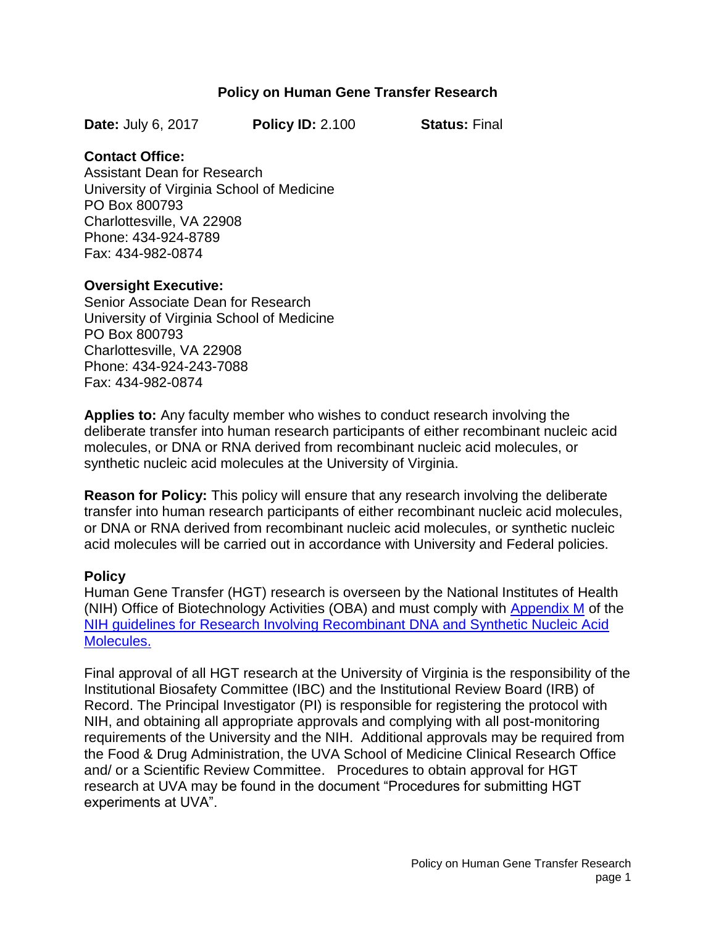### **Policy on Human Gene Transfer Research**

**Date:** July 6, 2017 **Policy ID:** 2.100 **Status:** Final

#### **Contact Office:**

Assistant Dean for Research University of Virginia School of Medicine PO Box 800793 Charlottesville, VA 22908 Phone: 434-924-8789 Fax: 434-982-0874

#### **Oversight Executive:**

Senior Associate Dean for Research University of Virginia School of Medicine PO Box 800793 Charlottesville, VA 22908 Phone: 434-924-243-7088 Fax: 434-982-0874

**Applies to:** Any faculty member who wishes to conduct research involving the deliberate transfer into human research participants of either recombinant nucleic acid molecules, or DNA or RNA derived from recombinant nucleic acid molecules, or synthetic nucleic acid molecules at the University of Virginia.

**Reason for Policy:** This policy will ensure that any research involving the deliberate transfer into human research participants of either recombinant nucleic acid molecules, or DNA or RNA derived from recombinant nucleic acid molecules, or synthetic nucleic acid molecules will be carried out in accordance with University and Federal policies.

### **Policy**

Human Gene Transfer (HGT) research is overseen by the National Institutes of Health (NIH) Office of Biotechnology Activities (OBA) and must comply with [Appendix M](https://osp.od.nih.gov/wp-content/uploads/NIH_Guidelines.html#_Toc446948489) of the [NIH guidelines for Research Involving Recombinant DNA and Synthetic Nucleic Acid](http://osp.od.nih.gov/office-biotechnology-activities/biosafety/nih-guidelines)  [Molecules.](http://osp.od.nih.gov/office-biotechnology-activities/biosafety/nih-guidelines)

Final approval of all HGT research at the University of Virginia is the responsibility of the Institutional Biosafety Committee (IBC) and the Institutional Review Board (IRB) of Record. The Principal Investigator (PI) is responsible for registering the protocol with NIH, and obtaining all appropriate approvals and complying with all post-monitoring requirements of the University and the NIH. Additional approvals may be required from the Food & Drug Administration, the UVA School of Medicine Clinical Research Office and/ or a Scientific Review Committee. Procedures to obtain approval for HGT research at UVA may be found in the document "Procedures for submitting HGT experiments at UVA".